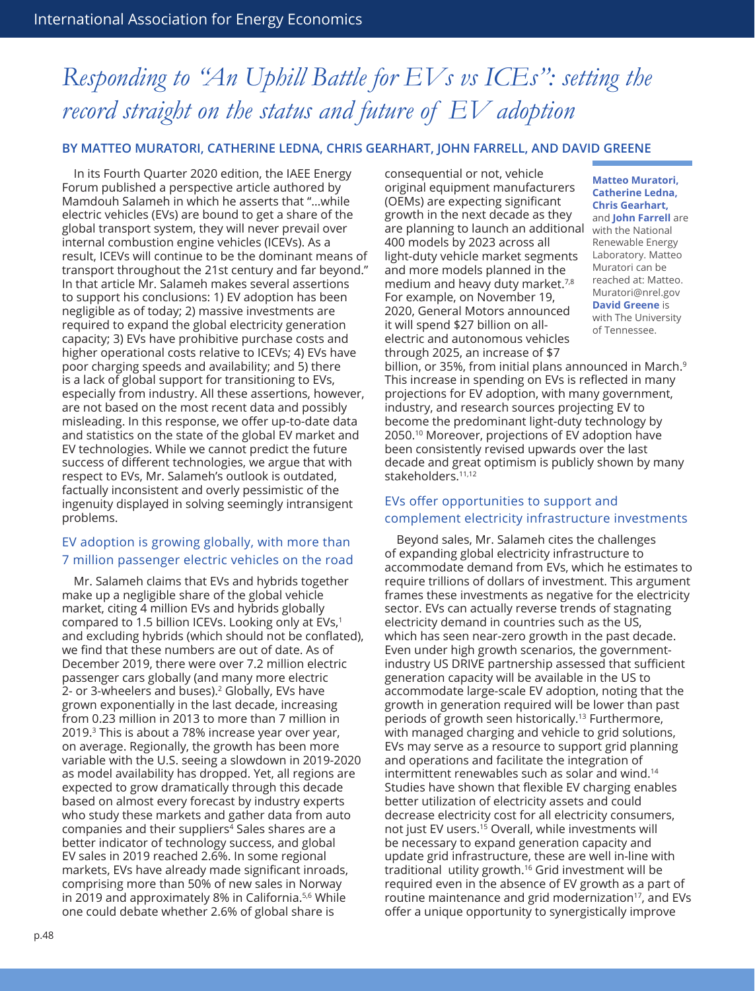# *Responding to "An Uphill Battle for EVs vs ICEs": setting the record straight on the status and future of EV adoption*

#### **BY MATTEO MURATORI, CATHERINE LEDNA, CHRIS GEARHART, JOHN FARRELL, AND DAVID GREENE**

In its Fourth Quarter 2020 edition, the IAEE Energy Forum published a perspective article authored by Mamdouh Salameh in which he asserts that "…while electric vehicles (EVs) are bound to get a share of the global transport system, they will never prevail over internal combustion engine vehicles (ICEVs). As a result, ICEVs will continue to be the dominant means of transport throughout the 21st century and far beyond." In that article Mr. Salameh makes several assertions to support his conclusions: 1) EV adoption has been negligible as of today; 2) massive investments are required to expand the global electricity generation capacity; 3) EVs have prohibitive purchase costs and higher operational costs relative to ICEVs; 4) EVs have poor charging speeds and availability; and 5) there is a lack of global support for transitioning to EVs, especially from industry. All these assertions, however, are not based on the most recent data and possibly misleading. In this response, we offer up-to-date data and statistics on the state of the global EV market and EV technologies. While we cannot predict the future success of different technologies, we argue that with respect to EVs, Mr. Salameh's outlook is outdated, factually inconsistent and overly pessimistic of the ingenuity displayed in solving seemingly intransigent problems.

#### EV adoption is growing globally, with more than 7 million passenger electric vehicles on the road

Mr. Salameh claims that EVs and hybrids together make up a negligible share of the global vehicle market, citing 4 million EVs and hybrids globally compared to 1.5 billion ICEVs. Looking only at  $EVs<sub>1</sub>$ and excluding hybrids (which should not be conflated), we find that these numbers are out of date. As of December 2019, there were over 7.2 million electric passenger cars globally (and many more electric 2- or 3-wheelers and buses).<sup>2</sup> Globally, EVs have grown exponentially in the last decade, increasing from 0.23 million in 2013 to more than 7 million in 2019.3 This is about a 78% increase year over year, on average. Regionally, the growth has been more variable with the U.S. seeing a slowdown in 2019-2020 as model availability has dropped. Yet, all regions are expected to grow dramatically through this decade based on almost every forecast by industry experts who study these markets and gather data from auto companies and their suppliers<sup>4</sup> Sales shares are a better indicator of technology success, and global EV sales in 2019 reached 2.6%. In some regional markets, EVs have already made significant inroads, comprising more than 50% of new sales in Norway in 2019 and approximately 8% in California.<sup>5,6</sup> While one could debate whether 2.6% of global share is

consequential or not, vehicle original equipment manufacturers (OEMs) are expecting significant growth in the next decade as they are planning to launch an additional with the National 400 models by 2023 across all light-duty vehicle market segments and more models planned in the medium and heavy duty market.7,8 For example, on November 19, 2020, General Motors announced it will spend \$27 billion on allelectric and autonomous vehicles through 2025, an increase of \$7

**Matteo Muratori, Catherine Ledna, Chris Gearhart,**  and **John Farrell** are Renewable Energy Laboratory. Matteo Muratori can be reached at: [Matteo.](mailto:Matteo.Muratori@nrel.gov) [Muratori@nrel.gov](mailto:Matteo.Muratori@nrel.gov) **David Greene** is with The University of Tennessee.

billion, or 35%, from initial plans announced in March.<sup>9</sup> This increase in spending on EVs is reflected in many projections for EV adoption, with many government, industry, and research sources projecting EV to become the predominant light-duty technology by 2050.10 Moreover, projections of EV adoption have been consistently revised upwards over the last decade and great optimism is publicly shown by many stakeholders.<sup>11,12</sup>

#### EVs offer opportunities to support and complement electricity infrastructure investments

Beyond sales, Mr. Salameh cites the challenges of expanding global electricity infrastructure to accommodate demand from EVs, which he estimates to require trillions of dollars of investment. This argument frames these investments as negative for the electricity sector. EVs can actually reverse trends of stagnating electricity demand in countries such as the US, which has seen near-zero growth in the past decade. Even under high growth scenarios, the governmentindustry US DRIVE partnership assessed that sufficient generation capacity will be available in the US to accommodate large-scale EV adoption, noting that the growth in generation required will be lower than past periods of growth seen historically.13 Furthermore, with managed charging and vehicle to grid solutions, EVs may serve as a resource to support grid planning and operations and facilitate the integration of intermittent renewables such as solar and wind.14 Studies have shown that flexible EV charging enables better utilization of electricity assets and could decrease electricity cost for all electricity consumers, not just EV users.15 Overall, while investments will be necessary to expand generation capacity and update grid infrastructure, these are well in-line with traditional utility growth.16 Grid investment will be required even in the absence of EV growth as a part of routine maintenance and grid modernization<sup>17</sup>, and EVs offer a unique opportunity to synergistically improve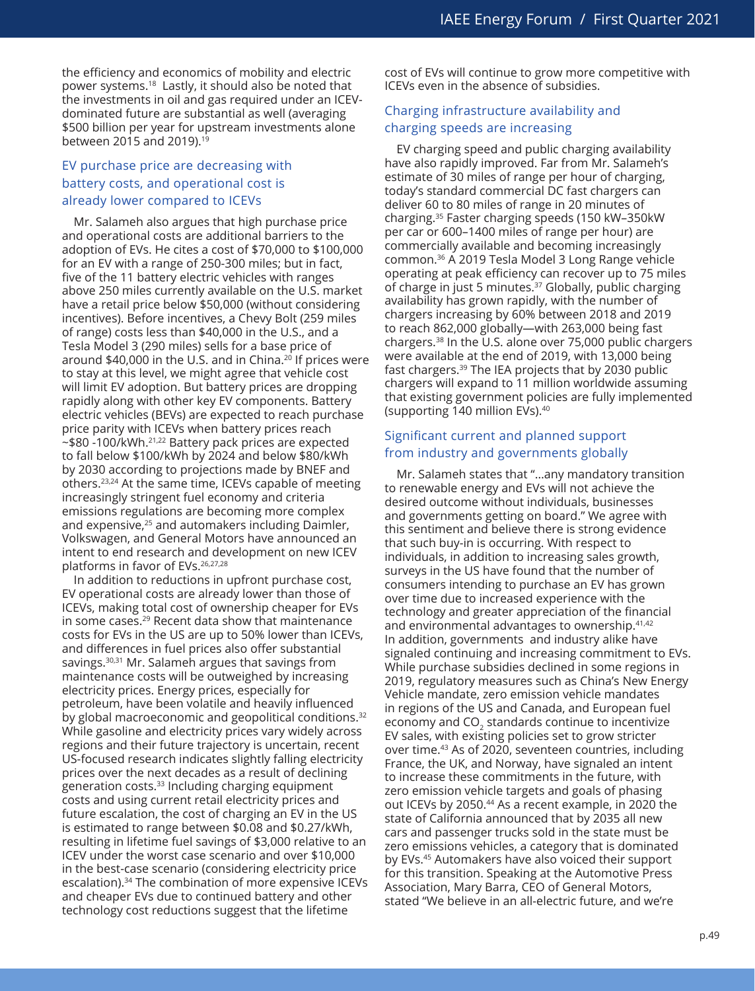the efficiency and economics of mobility and electric power systems.18 Lastly, it should also be noted that the investments in oil and gas required under an ICEVdominated future are substantial as well (averaging \$500 billion per year for upstream investments alone between 2015 and 2019).19

# EV purchase price are decreasing with battery costs, and operational cost is already lower compared to ICEVs

Mr. Salameh also argues that high purchase price and operational costs are additional barriers to the adoption of EVs. He cites a cost of \$70,000 to \$100,000 for an EV with a range of 250-300 miles; but in fact, five of the 11 battery electric vehicles with ranges above 250 miles currently available on the U.S. market have a retail price below \$50,000 (without considering incentives). Before incentives, a Chevy Bolt (259 miles of range) costs less than \$40,000 in the U.S., and a Tesla Model 3 (290 miles) sells for a base price of around  $$40,000$  in the U.S. and in China.<sup>20</sup> If prices were to stay at this level, we might agree that vehicle cost will limit EV adoption. But battery prices are dropping rapidly along with other key EV components. Battery electric vehicles (BEVs) are expected to reach purchase price parity with ICEVs when battery prices reach  $\sim$ \$80 -100/kWh.<sup>21,22</sup> Battery pack prices are expected to fall below \$100/kWh by 2024 and below \$80/kWh by 2030 according to projections made by BNEF and others.23,24 At the same time, ICEVs capable of meeting increasingly stringent fuel economy and criteria emissions regulations are becoming more complex and expensive,<sup>25</sup> and automakers including Daimler, Volkswagen, and General Motors have announced an intent to end research and development on new ICEV platforms in favor of EVs.<sup>26,27,28</sup>

In addition to reductions in upfront purchase cost, EV operational costs are already lower than those of ICEVs, making total cost of ownership cheaper for EVs in some cases.29 Recent data show that maintenance costs for EVs in the US are up to 50% lower than ICEVs, and differences in fuel prices also offer substantial savings.30,31 Mr. Salameh argues that savings from maintenance costs will be outweighed by increasing electricity prices. Energy prices, especially for petroleum, have been volatile and heavily influenced by global macroeconomic and geopolitical conditions.<sup>32</sup> While gasoline and electricity prices vary widely across regions and their future trajectory is uncertain, recent US-focused research indicates slightly falling electricity prices over the next decades as a result of declining generation costs.33 Including charging equipment costs and using current retail electricity prices and future escalation, the cost of charging an EV in the US is estimated to range between \$0.08 and \$0.27/kWh, resulting in lifetime fuel savings of \$3,000 relative to an ICEV under the worst case scenario and over \$10,000 in the best-case scenario (considering electricity price escalation).<sup>34</sup> The combination of more expensive ICEVs and cheaper EVs due to continued battery and other technology cost reductions suggest that the lifetime

cost of EVs will continue to grow more competitive with ICEVs even in the absence of subsidies.

### Charging infrastructure availability and charging speeds are increasing

EV charging speed and public charging availability have also rapidly improved. Far from Mr. Salameh's estimate of 30 miles of range per hour of charging, today's standard commercial DC fast chargers can deliver 60 to 80 miles of range in 20 minutes of charging.35 Faster charging speeds (150 kW–350kW per car or 600–1400 miles of range per hour) are commercially available and becoming increasingly common.36 A 2019 Tesla Model 3 Long Range vehicle operating at peak efficiency can recover up to 75 miles of charge in just 5 minutes.<sup>37</sup> Globally, public charging availability has grown rapidly, with the number of chargers increasing by 60% between 2018 and 2019 to reach 862,000 globally—with 263,000 being fast chargers.38 In the U.S. alone over 75,000 public chargers were available at the end of 2019, with 13,000 being fast chargers.39 The IEA projects that by 2030 public chargers will expand to 11 million worldwide assuming that existing government policies are fully implemented (supporting 140 million EVs).40

## Significant current and planned support from industry and governments globally

Mr. Salameh states that "…any mandatory transition to renewable energy and EVs will not achieve the desired outcome without individuals, businesses and governments getting on board." We agree with this sentiment and believe there is strong evidence that such buy-in is occurring. With respect to individuals, in addition to increasing sales growth, surveys in the US have found that the number of consumers intending to purchase an EV has grown over time due to increased experience with the technology and greater appreciation of the financial and environmental advantages to ownership.<sup>41,42</sup> In addition, governments and industry alike have signaled continuing and increasing commitment to EVs. While purchase subsidies declined in some regions in 2019, regulatory measures such as China's New Energy Vehicle mandate, zero emission vehicle mandates in regions of the US and Canada, and European fuel economy and CO<sub>2</sub> standards continue to incentivize EV sales, with existing policies set to grow stricter over time.43 As of 2020, seventeen countries, including France, the UK, and Norway, have signaled an intent to increase these commitments in the future, with zero emission vehicle targets and goals of phasing out ICEVs by 2050.44 As a recent example, in 2020 the state of California announced that by 2035 all new cars and passenger trucks sold in the state must be zero emissions vehicles, a category that is dominated by EVs.45 Automakers have also voiced their support for this transition. Speaking at the Automotive Press Association, Mary Barra, CEO of General Motors, stated "We believe in an all-electric future, and we're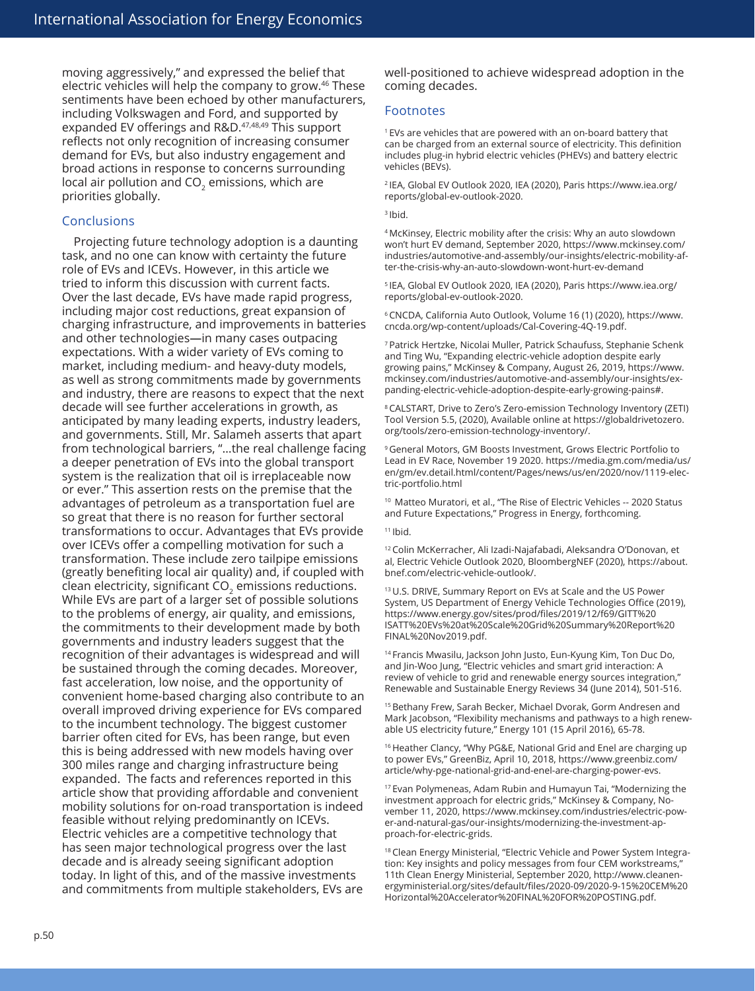moving aggressively," and expressed the belief that electric vehicles will help the company to grow.46 These sentiments have been echoed by other manufacturers, including Volkswagen and Ford, and supported by expanded EV offerings and R&D.<sup>47,48,49</sup> This support reflects not only recognition of increasing consumer demand for EVs, but also industry engagement and broad actions in response to concerns surrounding local air pollution and CO<sub>2</sub> emissions, which are priorities globally.

#### **Conclusions**

Projecting future technology adoption is a daunting task, and no one can know with certainty the future role of EVs and ICEVs. However, in this article we tried to inform this discussion with current facts. Over the last decade, EVs have made rapid progress, including major cost reductions, great expansion of charging infrastructure, and improvements in batteries and other technologies—in many cases outpacing expectations. With a wider variety of EVs coming to market, including medium- and heavy-duty models, as well as strong commitments made by governments and industry, there are reasons to expect that the next decade will see further accelerations in growth, as anticipated by many leading experts, industry leaders, and governments. Still, Mr. Salameh asserts that apart from technological barriers, "…the real challenge facing a deeper penetration of EVs into the global transport system is the realization that oil is irreplaceable now or ever." This assertion rests on the premise that the advantages of petroleum as a transportation fuel are so great that there is no reason for further sectoral transformations to occur. Advantages that EVs provide over ICEVs offer a compelling motivation for such a transformation. These include zero tailpipe emissions (greatly benefiting local air quality) and, if coupled with clean electricity, significant CO<sub>2</sub> emissions reductions. While EVs are part of a larger set of possible solutions to the problems of energy, air quality, and emissions, the commitments to their development made by both governments and industry leaders suggest that the recognition of their advantages is widespread and will be sustained through the coming decades. Moreover, fast acceleration, low noise, and the opportunity of convenient home-based charging also contribute to an overall improved driving experience for EVs compared to the incumbent technology. The biggest customer barrier often cited for EVs, has been range, but even this is being addressed with new models having over 300 miles range and charging infrastructure being expanded. The facts and references reported in this article show that providing affordable and convenient mobility solutions for on-road transportation is indeed feasible without relying predominantly on ICEVs. Electric vehicles are a competitive technology that has seen major technological progress over the last decade and is already seeing significant adoption today. In light of this, and of the massive investments and commitments from multiple stakeholders, EVs are

well-positioned to achieve widespread adoption in the coming decades.

#### Footnotes

<sup>1</sup> EVs are vehicles that are powered with an on-board battery that can be charged from an external source of electricity. This definition includes plug-in hybrid electric vehicles (PHEVs) and battery electric vehicles (BEVs).

2 IEA, Global EV Outlook 2020, IEA (2020), Paris [https://www.iea.org/](https://www.iea.org/reports/global-ev-outlook-2020) [reports/global-ev-outlook-2020](https://www.iea.org/reports/global-ev-outlook-2020).

#### 3 Ibid.

4 McKinsey, Electric mobility after the crisis: Why an auto slowdown won't hurt EV demand, September 2020, [https://www.mckinsey.com/](https://www.mckinsey.com/industries/automotive-and-assembly/our-insights/electric-mobility-after-the-crisis-why-an-auto-slowdown-wont-hurt-ev-demand) [industries/automotive-and-assembly/our-insights/electric-mobility-af](https://www.mckinsey.com/industries/automotive-and-assembly/our-insights/electric-mobility-after-the-crisis-why-an-auto-slowdown-wont-hurt-ev-demand)[ter-the-crisis-why-an-auto-slowdown-wont-hurt-ev-demand](https://www.mckinsey.com/industries/automotive-and-assembly/our-insights/electric-mobility-after-the-crisis-why-an-auto-slowdown-wont-hurt-ev-demand)

5 IEA, Global EV Outlook 2020, IEA (2020), Paris [https://www.iea.org/](https://www.iea.org/reports/global-ev-outlook-2020) [reports/global-ev-outlook-2020](https://www.iea.org/reports/global-ev-outlook-2020).

6 CNCDA, California Auto Outlook, Volume 16 (1) (2020), [https://www.](https://www.cncda.org/wp-content/uploads/Cal-Covering-4Q-19.pdf) [cncda.org/wp-content/uploads/Cal-Covering-4Q-19.pdf](https://www.cncda.org/wp-content/uploads/Cal-Covering-4Q-19.pdf).

<sup>7</sup>Patrick Hertzke, Nicolai Muller, Patrick Schaufuss, Stephanie Schenk and Ting Wu, "Expanding electric-vehicle adoption despite early growing pains," McKinsey & Company, August 26, 2019, [https://www.](https://www.mckinsey.com/industries/automotive-and-assembly/our-insights/expanding-electric-vehicle-adoption-despite-early-growing-pains) [mckinsey.com/industries/automotive-and-assembly/our-insights/ex](https://www.mckinsey.com/industries/automotive-and-assembly/our-insights/expanding-electric-vehicle-adoption-despite-early-growing-pains)[panding-electric-vehicle-adoption-despite-early-growing-pains#](https://www.mckinsey.com/industries/automotive-and-assembly/our-insights/expanding-electric-vehicle-adoption-despite-early-growing-pains).

<sup>8</sup>CALSTART, Drive to Zero's Zero-emission Technology Inventory (ZETI) Tool Version 5.5, (2020), Available online at [https://globaldrivetozero.](https://globaldrivetozero.org/tools/zero-emission-technology-inventory/) [org/tools/zero-emission-technology-inventory/](https://globaldrivetozero.org/tools/zero-emission-technology-inventory/).

9 General Motors, GM Boosts Investment, Grows Electric Portfolio to Lead in EV Race, November 19 2020. [https://media.gm.com/media/us/](https://media.gm.com/media/us/en/gm/ev.detail.html/content/Pages/news/us/en/2020/nov/1119-electric-portfolio.html) [en/gm/ev.detail.html/content/Pages/news/us/en/2020/nov/1119-elec](https://media.gm.com/media/us/en/gm/ev.detail.html/content/Pages/news/us/en/2020/nov/1119-electric-portfolio.html)[tric-portfolio.html](https://media.gm.com/media/us/en/gm/ev.detail.html/content/Pages/news/us/en/2020/nov/1119-electric-portfolio.html)

Matteo Muratori, et al., "The Rise of Electric Vehicles -- 2020 Status and Future Expectations," Progress in Energy, forthcoming.

<sup>12</sup>Colin McKerracher, Ali Izadi-Najafabadi, Aleksandra O'Donovan, et al, Electric Vehicle Outlook 2020, BloombergNEF (2020), [https://about.](https://about.bnef.com/electric-vehicle-outlook/) [bnef.com/electric-vehicle-outlook/](https://about.bnef.com/electric-vehicle-outlook/).

13 U.S. DRIVE, Summary Report on EVs at Scale and the US Power System, US Department of Energy Vehicle Technologies Office (2019), [https://www.energy.gov/sites/prod/files/2019/12/f69/GITT%20](https://www.energy.gov/sites/prod/files/2019/12/f69/GITT%20ISATT%20EVs%20at%20Scale%20Grid%20Summary%20Report%20FINAL%20Nov2019.pdfn) [ISATT%20EVs%20at%20Scale%20Grid%20Summary%20Report%20](https://www.energy.gov/sites/prod/files/2019/12/f69/GITT%20ISATT%20EVs%20at%20Scale%20Grid%20Summary%20Report%20FINAL%20Nov2019.pdfn) [FINAL%20Nov2019.pdf](https://www.energy.gov/sites/prod/files/2019/12/f69/GITT%20ISATT%20EVs%20at%20Scale%20Grid%20Summary%20Report%20FINAL%20Nov2019.pdfn).

<sup>14</sup> Francis Mwasilu, Jackson John Justo, Eun-Kyung Kim, Ton Duc Do, and Jin-Woo Jung, "Electric vehicles and smart grid interaction: A review of vehicle to grid and renewable energy sources integration," Renewable and Sustainable Energy Reviews 34 (June 2014), 501-516.

15 Bethany Frew, Sarah Becker, Michael Dvorak, Gorm Andresen and Mark Jacobson, "Flexibility mechanisms and pathways to a high renewable US electricity future," Energy 101 (15 April 2016), 65-78.

<sup>16</sup> Heather Clancy, "Why PG&E, National Grid and Enel are charging up to power EVs," GreenBiz, April 10, 2018, [https://www.greenbiz.com/](https://www.greenbiz.com/article/why-pge-national-grid-and-enel-are-charging-power-evs) [article/why-pge-national-grid-and-enel-are-charging-power-evs](https://www.greenbiz.com/article/why-pge-national-grid-and-enel-are-charging-power-evs).

<sup>17</sup>Evan Polymeneas, Adam Rubin and Humayun Tai, "Modernizing the investment approach for electric grids," McKinsey & Company, November 11, 2020, [https://www.mckinsey.com/industries/electric-pow](https://www.mckinsey.com/industries/electric-power-and-natural-gas/our-insights/modernizing-the-investment-approach-for-electric-grids)[er-and-natural-gas/our-insights/modernizing-the-investment-ap](https://www.mckinsey.com/industries/electric-power-and-natural-gas/our-insights/modernizing-the-investment-approach-for-electric-grids)[proach-for-electric-grids](https://www.mckinsey.com/industries/electric-power-and-natural-gas/our-insights/modernizing-the-investment-approach-for-electric-grids).

<sup>18</sup> Clean Energy Ministerial, "Electric Vehicle and Power System Integration: Key insights and policy messages from four CEM workstreams," 11th Clean Energy Ministerial, September 2020, [http://www.cleanen](http://www.cleanenergyministerial.org/sites/default/files/2020-09/2020-9-15%20CEM%20Horizontal%20Accelerator%20FINAL%20FOR%20POSTING.pdf)[ergyministerial.org/sites/default/files/2020-09/2020-9-15%20CEM%20](http://www.cleanenergyministerial.org/sites/default/files/2020-09/2020-9-15%20CEM%20Horizontal%20Accelerator%20FINAL%20FOR%20POSTING.pdf) [Horizontal%20Accelerator%20FINAL%20FOR%20POSTING.pdf](http://www.cleanenergyministerial.org/sites/default/files/2020-09/2020-9-15%20CEM%20Horizontal%20Accelerator%20FINAL%20FOR%20POSTING.pdf).

<sup>11</sup> Ibid.